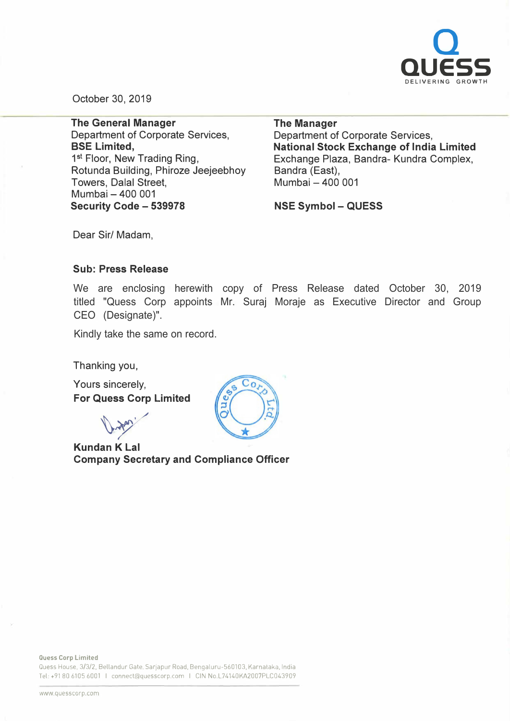

October 30, 2019

**The General Manager**  Department of Corporate Services, **BSE Limited,**  1 **st** Floor, New Trading Ring, Rotunda Building, Phiroze Jeejeebhoy Towers, Dalal Street, Mumbai - 400 001 **Security Code - 539978** 

**The Manager**  Department of Corporate Services, **National Stock Exchange of India Limited**  Exchange Plaza, Bandra- Kundra Complex, Bandra (East), Mumbai - 400 001

**NSE Symbol - QUESS** 

Dear Sir/ Madam,

## **Sub: Press Release**

We are enclosing herewith copy of Press Release dated October 30, 2019 titled "Quess Corp appoints Mr. Suraj Moraje as Executive Director and Group CEO (Designate)".

Kindly take the same on record.

Thanking you,

Yours sincerely, **For Quess Corp Limited** 

**Kundan K Lal** 

**Company Secretary and Compliance Officer** 

Quess House, 3/3/2, Bellandur Gate, Sarjapur Road, Bengaluru-560103, Karnataka, India Tel: +91 80 6105 6001 I connect@quesscorp.com I CIN No.L74140KA2007PLC043909